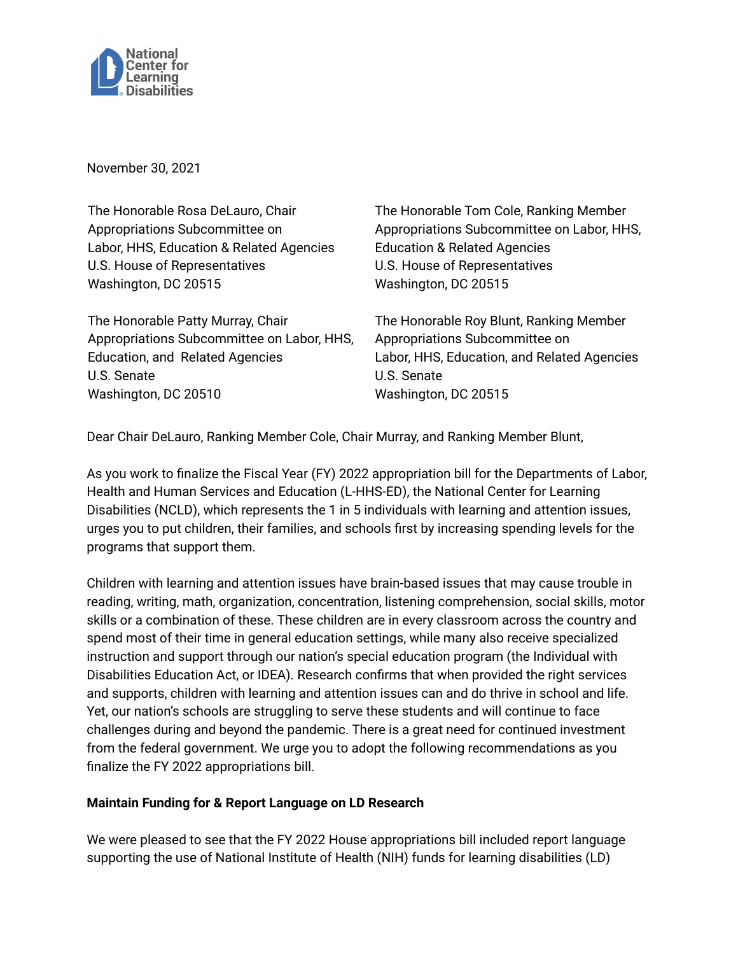

November 30, 2021

The Honorable Rosa DeLauro, Chair Appropriations Subcommittee on Labor, HHS, Education & Related Agencies U.S. House of Representatives Washington, DC 20515

The Honorable Patty Murray, Chair Appropriations Subcommittee on Labor, HHS, Education, and Related Agencies U.S. Senate Washington, DC 20510

The Honorable Tom Cole, Ranking Member Appropriations Subcommittee on Labor, HHS, Education & Related Agencies U.S. House of Representatives Washington, DC 20515

The Honorable Roy Blunt, Ranking Member Appropriations Subcommittee on Labor, HHS, Education, and Related Agencies U.S. Senate Washington, DC 20515

Dear Chair DeLauro, Ranking Member Cole, Chair Murray, and Ranking Member Blunt,

As you work to finalize the Fiscal Year (FY) 2022 appropriation bill for the Departments of Labor, Health and Human Services and Education (L-HHS-ED), the National Center for Learning Disabilities (NCLD), which represents the 1 in 5 individuals with learning and attention issues, urges you to put children, their families, and schools first by increasing spending levels for the programs that support them.

Children with learning and attention issues have brain-based issues that may cause trouble in reading, writing, math, organization, concentration, listening comprehension, social skills, motor skills or a combination of these. These children are in every classroom across the country and spend most of their time in general education settings, while many also receive specialized instruction and support through our nation's special education program (the Individual with Disabilities Education Act, or IDEA). Research confirms that when provided the right services and supports, children with learning and attention issues can and do thrive in school and life. Yet, our nation's schools are struggling to serve these students and will continue to face challenges during and beyond the pandemic. There is a great need for continued investment from the federal government. We urge you to adopt the following recommendations as you finalize the FY 2022 appropriations bill.

## **Maintain Funding for & Report Language on LD Research**

We were pleased to see that the FY 2022 House appropriations bill included report language supporting the use of National Institute of Health (NIH) funds for learning disabilities (LD)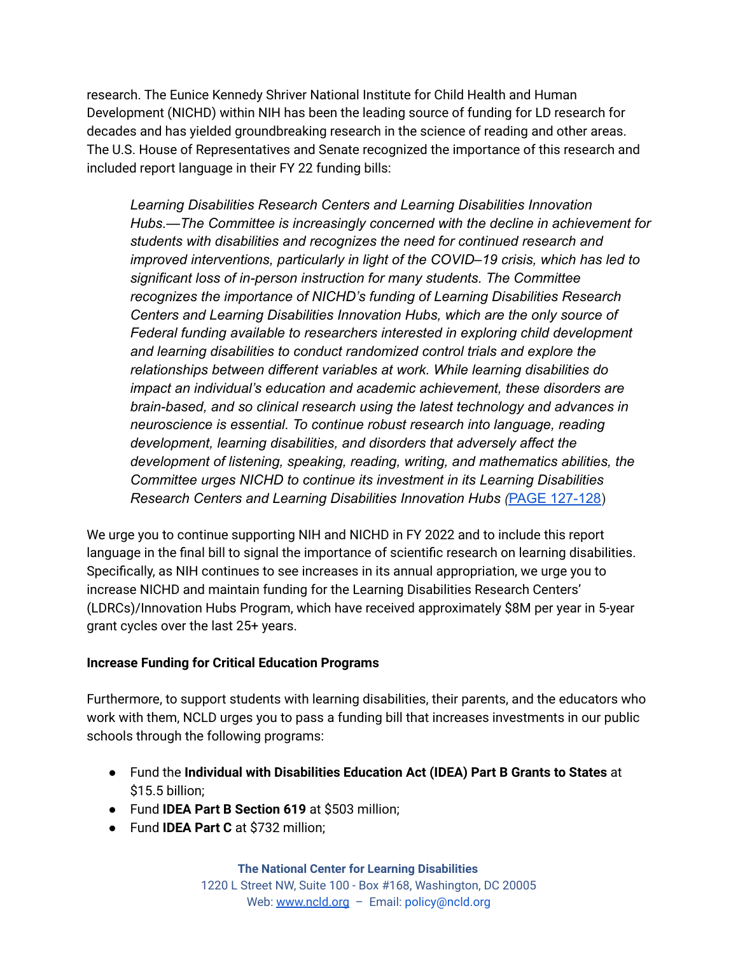research. The Eunice Kennedy Shriver National Institute for Child Health and Human Development (NICHD) within NIH has been the leading source of funding for LD research for decades and has yielded groundbreaking research in the science of reading and other areas. The U.S. House of Representatives and Senate recognized the importance of this research and included report language in their FY 22 funding bills:

*Learning Disabilities Research Centers and Learning Disabilities Innovation Hubs.—The Committee is increasingly concerned with the decline in achievement for students with disabilities and recognizes the need for continued research and improved interventions, particularly in light of the COVID–19 crisis, which has led to significant loss of in-person instruction for many students. The Committee recognizes the importance of NICHD's funding of Learning Disabilities Research Centers and Learning Disabilities Innovation Hubs, which are the only source of Federal funding available to researchers interested in exploring child development and learning disabilities to conduct randomized control trials and explore the relationships between different variables at work. While learning disabilities do impact an individual's education and academic achievement, these disorders are brain-based, and so clinical research using the latest technology and advances in neuroscience is essential. To continue robust research into language, reading development, learning disabilities, and disorders that adversely affect the development of listening, speaking, reading, writing, and mathematics abilities, the Committee urges NICHD to continue its investment in its Learning Disabilities Research Centers and Learning Disabilities Innovation Hubs (*PAGE [127-128\)](https://www.congress.gov/117/crpt/hrpt96/CRPT-117hrpt96.pdf#page=127)

We urge you to continue supporting NIH and NICHD in FY 2022 and to include this report language in the final bill to signal the importance of scientific research on learning disabilities. Specifically, as NIH continues to see increases in its annual appropriation, we urge you to increase NICHD and maintain funding for the Learning Disabilities Research Centers' (LDRCs)/Innovation Hubs Program, which have received approximately \$8M per year in 5-year grant cycles over the last 25+ years.

## **Increase Funding for Critical Education Programs**

Furthermore, to support students with learning disabilities, their parents, and the educators who work with them, NCLD urges you to pass a funding bill that increases investments in our public schools through the following programs:

- Fund the **Individual with Disabilities Education Act (IDEA) Part B Grants to States** at \$15.5 billion;
- Fund **IDEA Part B Section 619** at \$503 million;
- Fund **IDEA Part C** at \$732 million;